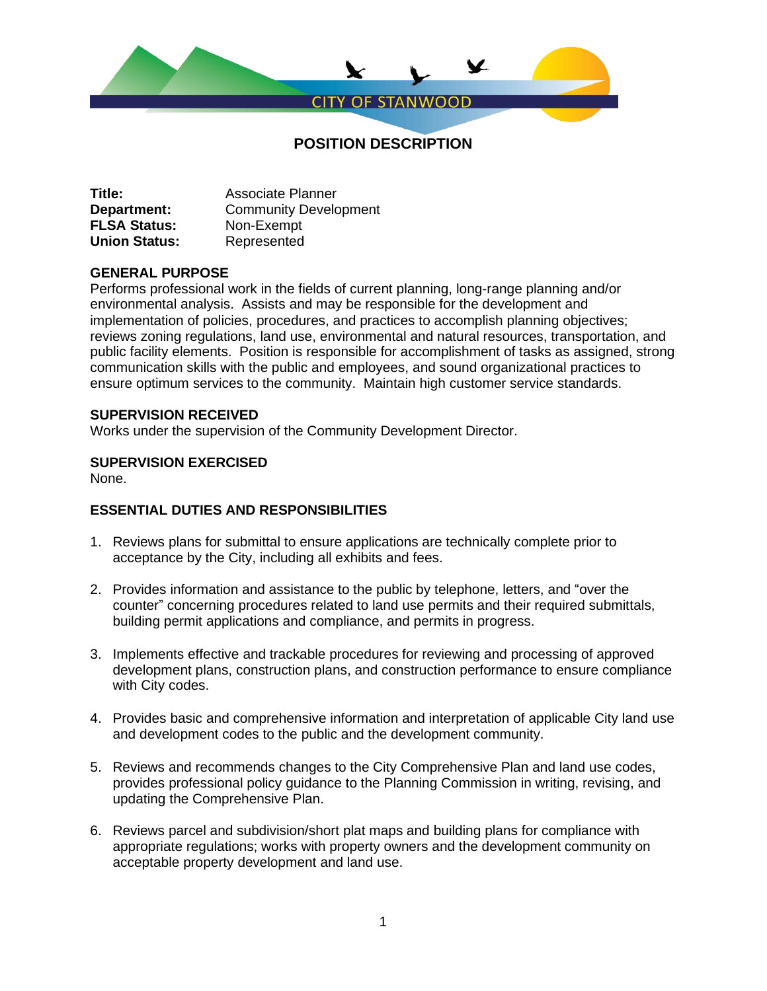

| Title:               | <b>Associate Planner</b>     |
|----------------------|------------------------------|
| Department:          | <b>Community Development</b> |
| <b>FLSA Status:</b>  | Non-Exempt                   |
| <b>Union Status:</b> | Represented                  |

#### **GENERAL PURPOSE**

Performs professional work in the fields of current planning, long-range planning and/or environmental analysis. Assists and may be responsible for the development and implementation of policies, procedures, and practices to accomplish planning objectives; reviews zoning regulations, land use, environmental and natural resources, transportation, and public facility elements. Position is responsible for accomplishment of tasks as assigned, strong communication skills with the public and employees, and sound organizational practices to ensure optimum services to the community. Maintain high customer service standards.

#### **SUPERVISION RECEIVED**

Works under the supervision of the Community Development Director.

### **SUPERVISION EXERCISED**

None.

## **ESSENTIAL DUTIES AND RESPONSIBILITIES**

- 1. Reviews plans for submittal to ensure applications are technically complete prior to acceptance by the City, including all exhibits and fees.
- 2. Provides information and assistance to the public by telephone, letters, and "over the counter" concerning procedures related to land use permits and their required submittals, building permit applications and compliance, and permits in progress.
- 3. Implements effective and trackable procedures for reviewing and processing of approved development plans, construction plans, and construction performance to ensure compliance with City codes.
- 4. Provides basic and comprehensive information and interpretation of applicable City land use and development codes to the public and the development community.
- 5. Reviews and recommends changes to the City Comprehensive Plan and land use codes, provides professional policy guidance to the Planning Commission in writing, revising, and updating the Comprehensive Plan.
- 6. Reviews parcel and subdivision/short plat maps and building plans for compliance with appropriate regulations; works with property owners and the development community on acceptable property development and land use.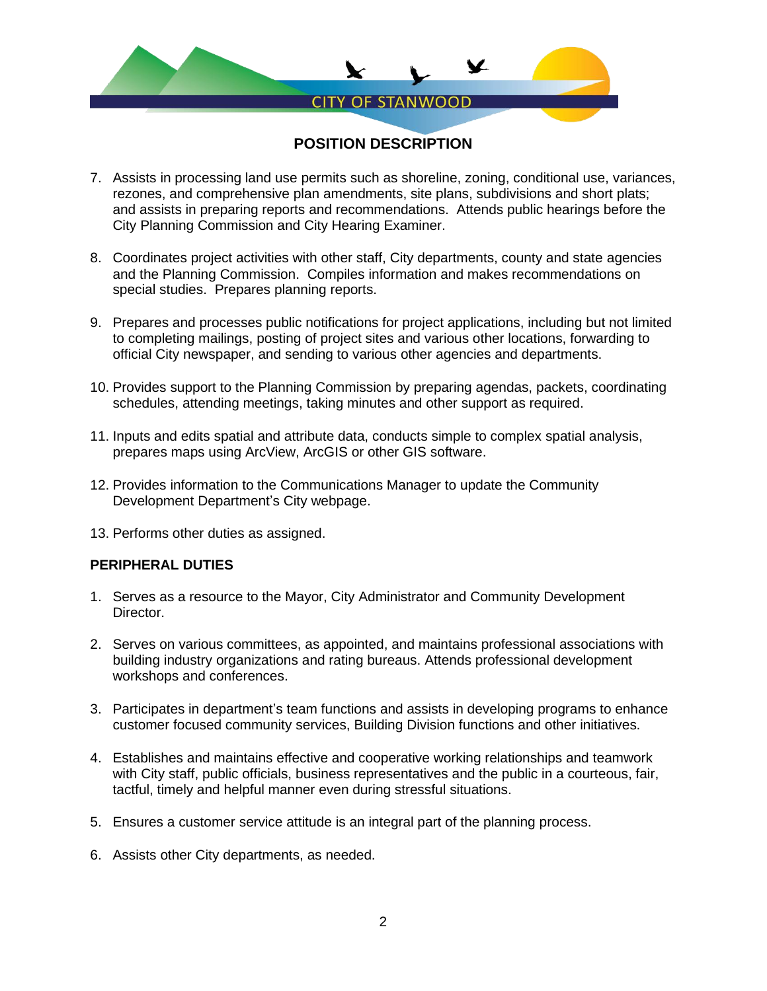

- 7. Assists in processing land use permits such as shoreline, zoning, conditional use, variances, rezones, and comprehensive plan amendments, site plans, subdivisions and short plats; and assists in preparing reports and recommendations. Attends public hearings before the City Planning Commission and City Hearing Examiner.
- 8. Coordinates project activities with other staff, City departments, county and state agencies and the Planning Commission. Compiles information and makes recommendations on special studies. Prepares planning reports.
- 9. Prepares and processes public notifications for project applications, including but not limited to completing mailings, posting of project sites and various other locations, forwarding to official City newspaper, and sending to various other agencies and departments.
- 10. Provides support to the Planning Commission by preparing agendas, packets, coordinating schedules, attending meetings, taking minutes and other support as required.
- 11. Inputs and edits spatial and attribute data, conducts simple to complex spatial analysis, prepares maps using ArcView, ArcGIS or other GIS software.
- 12. Provides information to the Communications Manager to update the Community Development Department's City webpage.
- 13. Performs other duties as assigned.

#### **PERIPHERAL DUTIES**

- 1. Serves as a resource to the Mayor, City Administrator and Community Development Director.
- 2. Serves on various committees, as appointed, and maintains professional associations with building industry organizations and rating bureaus. Attends professional development workshops and conferences.
- 3. Participates in department's team functions and assists in developing programs to enhance customer focused community services, Building Division functions and other initiatives.
- 4. Establishes and maintains effective and cooperative working relationships and teamwork with City staff, public officials, business representatives and the public in a courteous, fair, tactful, timely and helpful manner even during stressful situations.
- 5. Ensures a customer service attitude is an integral part of the planning process.
- 6. Assists other City departments, as needed.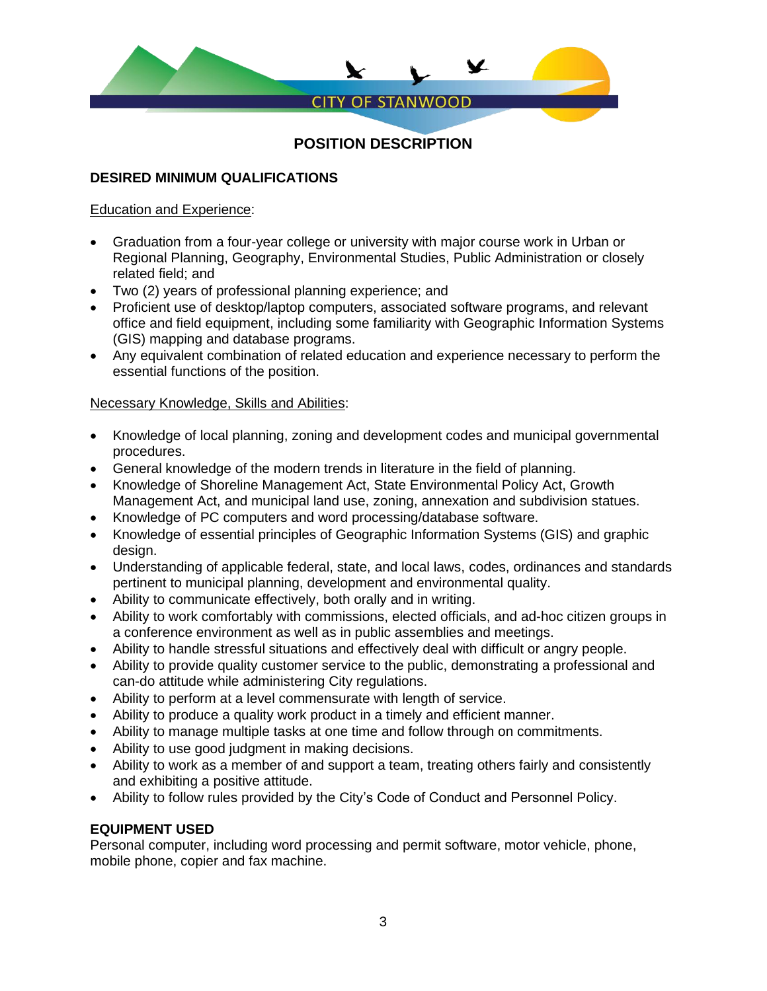

## **DESIRED MINIMUM QUALIFICATIONS**

### Education and Experience:

- Graduation from a four-year college or university with major course work in Urban or Regional Planning, Geography, Environmental Studies, Public Administration or closely related field; and
- Two (2) years of professional planning experience; and
- Proficient use of desktop/laptop computers, associated software programs, and relevant office and field equipment, including some familiarity with Geographic Information Systems (GIS) mapping and database programs.
- Any equivalent combination of related education and experience necessary to perform the essential functions of the position.

## Necessary Knowledge, Skills and Abilities:

- Knowledge of local planning, zoning and development codes and municipal governmental procedures.
- General knowledge of the modern trends in literature in the field of planning.
- Knowledge of Shoreline Management Act, State Environmental Policy Act, Growth Management Act, and municipal land use, zoning, annexation and subdivision statues.
- Knowledge of PC computers and word processing/database software.
- Knowledge of essential principles of Geographic Information Systems (GIS) and graphic design.
- Understanding of applicable federal, state, and local laws, codes, ordinances and standards pertinent to municipal planning, development and environmental quality.
- Ability to communicate effectively, both orally and in writing.
- Ability to work comfortably with commissions, elected officials, and ad-hoc citizen groups in a conference environment as well as in public assemblies and meetings.
- Ability to handle stressful situations and effectively deal with difficult or angry people.
- Ability to provide quality customer service to the public, demonstrating a professional and can-do attitude while administering City regulations.
- Ability to perform at a level commensurate with length of service.
- Ability to produce a quality work product in a timely and efficient manner.
- Ability to manage multiple tasks at one time and follow through on commitments.
- Ability to use good judgment in making decisions.
- Ability to work as a member of and support a team, treating others fairly and consistently and exhibiting a positive attitude.
- Ability to follow rules provided by the City's Code of Conduct and Personnel Policy.

## **EQUIPMENT USED**

Personal computer, including word processing and permit software, motor vehicle, phone, mobile phone, copier and fax machine.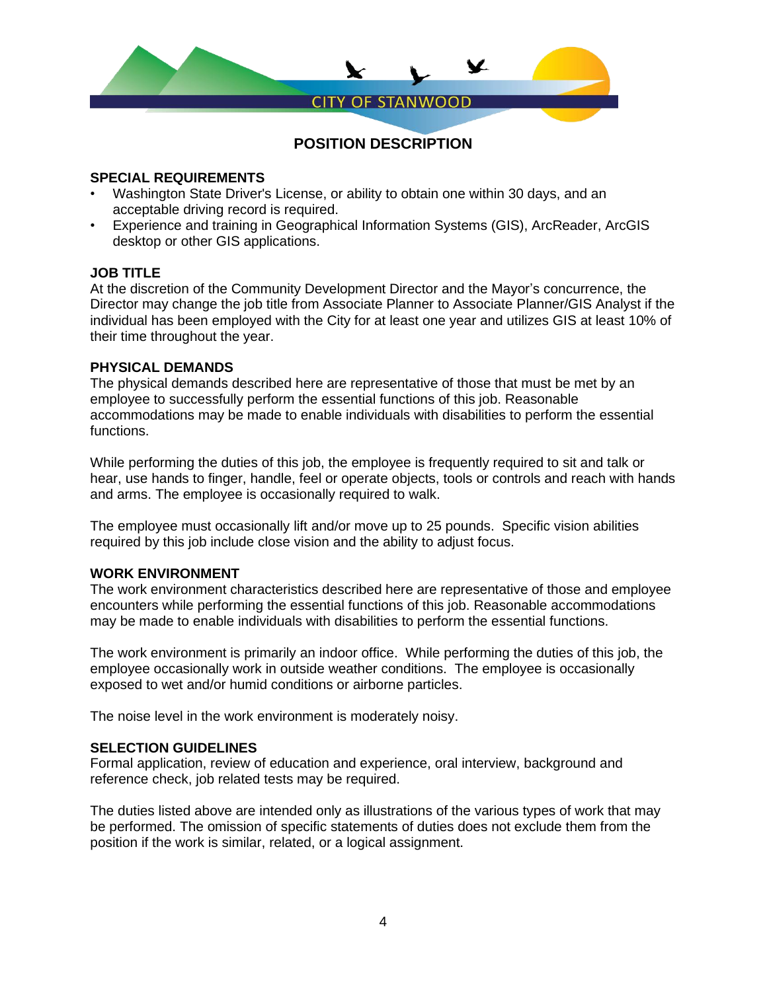

## **SPECIAL REQUIREMENTS**

- Washington State Driver's License, or ability to obtain one within 30 days, and an acceptable driving record is required.
- Experience and training in Geographical Information Systems (GIS), ArcReader, ArcGIS desktop or other GIS applications.

#### **JOB TITLE**

At the discretion of the Community Development Director and the Mayor's concurrence, the Director may change the job title from Associate Planner to Associate Planner/GIS Analyst if the individual has been employed with the City for at least one year and utilizes GIS at least 10% of their time throughout the year.

#### **PHYSICAL DEMANDS**

The physical demands described here are representative of those that must be met by an employee to successfully perform the essential functions of this job. Reasonable accommodations may be made to enable individuals with disabilities to perform the essential functions.

While performing the duties of this job, the employee is frequently required to sit and talk or hear, use hands to finger, handle, feel or operate objects, tools or controls and reach with hands and arms. The employee is occasionally required to walk.

The employee must occasionally lift and/or move up to 25 pounds. Specific vision abilities required by this job include close vision and the ability to adjust focus.

## **WORK ENVIRONMENT**

The work environment characteristics described here are representative of those and employee encounters while performing the essential functions of this job. Reasonable accommodations may be made to enable individuals with disabilities to perform the essential functions.

The work environment is primarily an indoor office. While performing the duties of this job, the employee occasionally work in outside weather conditions. The employee is occasionally exposed to wet and/or humid conditions or airborne particles.

The noise level in the work environment is moderately noisy.

#### **SELECTION GUIDELINES**

Formal application, review of education and experience, oral interview, background and reference check, job related tests may be required.

The duties listed above are intended only as illustrations of the various types of work that may be performed. The omission of specific statements of duties does not exclude them from the position if the work is similar, related, or a logical assignment.